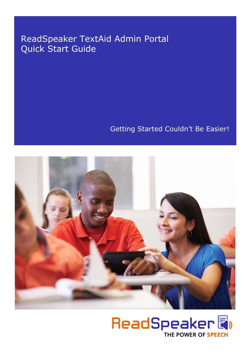## ReadSpeaker TextAid Admin Portal Quick Start Guide

Getting Started Couldn't Be Easier!



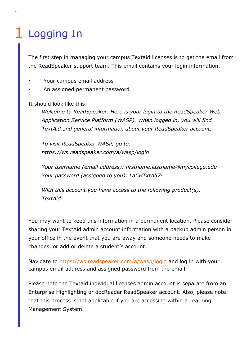## 1 Logging In

The first step in managing your campus Textaid licenses is to get the email from the ReadSpeaker support team. This email contains your login information.

- Your campus email address
- An assigned permanent password

It should look like this:

*Welcome to ReadSpeaker. Here is your login to the ReadSpeaker Web Application Service Platform (WASP). When logged in, you will find TextAid and general information about your ReadSpeaker account.* 

*To visit ReadSpeaker WASP, go to: https://ws.readspeaker.com/a/wasp/login* 

*Your username (email address): [firstname.lastname@mycollege.edu](mailto:firstname.lastname@mycollege.edu)  Your password (assigned to you): LaCHTxtA57!* 

*With this account you have access to the following product(s): TextAid* 

You may want to keep this information in a permanent location. Please consider sharing your TextAid admin account information with a backup admin person in your office in the event that you are away and someone needs to make changes, or add or delete a student's account.

Navigate to https://ws.readspeaker.com/a/wasp/login and log in with your campus email address and assigned password from the email.

Please note the Textaid individual licenses admin account is separate from an Enterprise Highlighting or docReader ReadSpeaker account. Also, please note that this process is not applicable if you are accessing within a Learning Management System.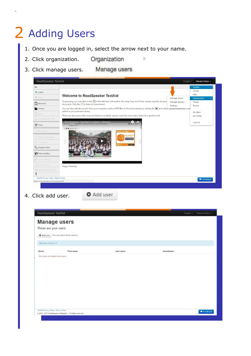## 2 Adding Users

- 1. Once you are logged in, select the arrow next to your name.
- Organization 2. Click organization.
- 3. Click manage users.

| $\leftarrow$                          |                                                                                                                                                                                  |               | <b>TextAid</b>        |  |  |  |
|---------------------------------------|----------------------------------------------------------------------------------------------------------------------------------------------------------------------------------|---------------|-----------------------|--|--|--|
| Listen                                |                                                                                                                                                                                  |               | Library               |  |  |  |
| Stop                                  | <b>Welcome to ReadSpeaker TextAid</b>                                                                                                                                            | Manage users  | Help<br>Organization  |  |  |  |
| <b>P</b> New text                     | To get going, you can click on the $\Box$ in the left hand side toolbar. By using Copy and Paste, simply copy the text you<br>document. Click the  ▶ to listen to it read aloud. | Manage groups | Usage<br>Renew        |  |  |  |
| Library                               | Settings<br>You can also add documents from your computer, such as PDF files or Word documents by clicking the land select opioad document. The                                  |               |                       |  |  |  |
| Save                                  | added to your personal Library.<br>There are also many other tools and features available, please watch the short video below for a guided tour!                                 |               | My Apps<br>My Profile |  |  |  |
| Download as mp3                       | ReadSpeaker TextAid for Users - General                                                                                                                                          |               |                       |  |  |  |
| $\mathcal{F}$ Tools                   |                                                                                                                                                                                  |               | Log out               |  |  |  |
| <b>C</b> <sub>1</sub> Annotations     | <b>GREDING</b><br>biel van Ziggo.                                                                                                                                                |               |                       |  |  |  |
| Writing assistance                    | Ai vanaf E<br>Nu 1 meand grat                                                                                                                                                    |               |                       |  |  |  |
| <b>E</b> Translation                  |                                                                                                                                                                                  |               |                       |  |  |  |
| $\frac{1}{2}$ Image to text           |                                                                                                                                                                                  |               |                       |  |  |  |
| Web reading                           |                                                                                                                                                                                  |               |                       |  |  |  |
| Voice settings                        | an Minimize Nazionalea Musli of Irisilia but participante during a dumansimation in New Delhi                                                                                    |               |                       |  |  |  |
| <b>O</b> Text settings                | Happy Reading!                                                                                                                                                                   |               |                       |  |  |  |
| Of Highlighting settings              |                                                                                                                                                                                  |               |                       |  |  |  |
| TextAid Privacy Policy   Terms of Use |                                                                                                                                                                                  |               |                       |  |  |  |
|                                       |                                                                                                                                                                                  |               | Feedback              |  |  |  |

þ,

4. Click add user.

|  |  | <b>O</b> Add user |
|--|--|-------------------|
|--|--|-------------------|

|                      | <b>Manage users</b>                    |           |             |  |
|----------------------|----------------------------------------|-----------|-------------|--|
| These are your users |                                        |           |             |  |
|                      |                                        |           |             |  |
|                      | O Add user You can add 2 more user(s). |           |             |  |
| Number of users: 0   |                                        |           |             |  |
| Email                | First name                             | Last name | Coordinator |  |
|                      |                                        |           |             |  |
|                      |                                        |           |             |  |